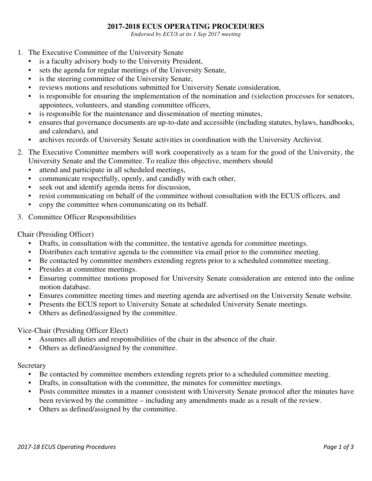## **2017-2018 ECUS OPERATING PROCEDURES**

*Endorsed by ECUS at its 1 Sep 2017 meeting* 

- 1. The Executive Committee of the University Senate
	- is a faculty advisory body to the University President,
	- sets the agenda for regular meetings of the University Senate,
	- is the steering committee of the University Senate,
	- reviews motions and resolutions submitted for University Senate consideration,
	- is responsible for ensuring the implementation of the nomination and (s) election processes for senators, appointees, volunteers, and standing committee officers,
	- is responsible for the maintenance and dissemination of meeting minutes,
	- ensures that governance documents are up-to-date and accessible (including statutes, bylaws, handbooks, and calendars), and
	- archives records of University Senate activities in coordination with the University Archivist.
- 2. The Executive Committee members will work cooperatively as a team for the good of the University, the University Senate and the Committee. To realize this objective, members should
	- attend and participate in all scheduled meetings,
	- communicate respectfully, openly, and candidly with each other,
	- seek out and identify agenda items for discussion,
	- resist communicating on behalf of the committee without consultation with the ECUS officers, and
	- copy the committee when communicating on its behalf.
- 3. Committee Officer Responsibilities

Chair (Presiding Officer)

- Drafts, in consultation with the committee, the tentative agenda for committee meetings.
- Distributes each tentative agenda to the committee via email prior to the committee meeting.
- Be contacted by committee members extending regrets prior to a scheduled committee meeting.
- Presides at committee meetings.
- Ensuring committee motions proposed for University Senate consideration are entered into the online motion database.
- Ensures committee meeting times and meeting agenda are advertised on the University Senate website.
- Presents the ECUS report to University Senate at scheduled University Senate meetings.
- Others as defined/assigned by the committee.

## Vice-Chair (Presiding Officer Elect)

- Assumes all duties and responsibilities of the chair in the absence of the chair.
- Others as defined/assigned by the committee.

## **Secretary**

- Be contacted by committee members extending regrets prior to a scheduled committee meeting.
- Drafts, in consultation with the committee, the minutes for committee meetings.
- Posts committee minutes in a manner consistent with University Senate protocol after the minutes have been reviewed by the committee – including any amendments made as a result of the review.
- Others as defined/assigned by the committee.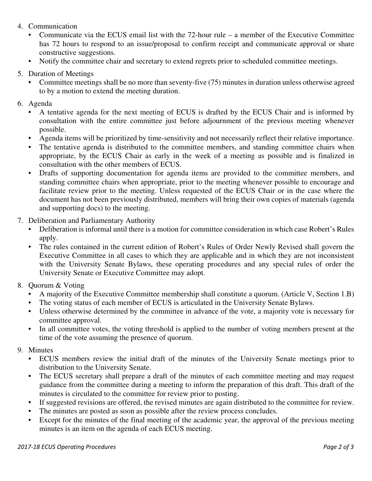- 4. Communication
	- Communicate via the ECUS email list with the  $72$ -hour rule a member of the Executive Committee has 72 hours to respond to an issue/proposal to confirm receipt and communicate approval or share constructive suggestions.
	- Notify the committee chair and secretary to extend regrets prior to scheduled committee meetings.
- 5. Duration of Meetings
	- Committee meetings shall be no more than seventy-five (75) minutes in duration unless otherwise agreed to by a motion to extend the meeting duration.
- 6. Agenda
	- A tentative agenda for the next meeting of ECUS is drafted by the ECUS Chair and is informed by consultation with the entire committee just before adjournment of the previous meeting whenever possible.
	- Agenda items will be prioritized by time-sensitivity and not necessarily reflect their relative importance.
	- The tentative agenda is distributed to the committee members, and standing committee chairs when appropriate, by the ECUS Chair as early in the week of a meeting as possible and is finalized in consultation with the other members of ECUS.
	- Drafts of supporting documentation for agenda items are provided to the committee members, and standing committee chairs when appropriate, prior to the meeting whenever possible to encourage and facilitate review prior to the meeting. Unless requested of the ECUS Chair or in the case where the document has not been previously distributed, members will bring their own copies of materials (agenda and supporting docs) to the meeting.
- 7. Deliberation and Parliamentary Authority
	- Deliberation is informal until there is a motion for committee consideration in which case Robert's Rules apply.
	- The rules contained in the current edition of Robert's Rules of Order Newly Revised shall govern the Executive Committee in all cases to which they are applicable and in which they are not inconsistent with the University Senate Bylaws, these operating procedures and any special rules of order the University Senate or Executive Committee may adopt.
- 8. Quorum & Voting
	- A majority of the Executive Committee membership shall constitute a quorum. (Article V, Section 1.B)
	- The voting status of each member of ECUS is articulated in the University Senate Bylaws.
	- Unless otherwise determined by the committee in advance of the vote, a majority vote is necessary for committee approval.
	- In all committee votes, the voting threshold is applied to the number of voting members present at the time of the vote assuming the presence of quorum.
- 9. Minutes
	- ECUS members review the initial draft of the minutes of the University Senate meetings prior to distribution to the University Senate.
	- The ECUS secretary shall prepare a draft of the minutes of each committee meeting and may request guidance from the committee during a meeting to inform the preparation of this draft. This draft of the minutes is circulated to the committee for review prior to posting.
	- If suggested revisions are offered, the revised minutes are again distributed to the committee for review.
	- The minutes are posted as soon as possible after the review process concludes.
	- Except for the minutes of the final meeting of the academic year, the approval of the previous meeting minutes is an item on the agenda of each ECUS meeting.